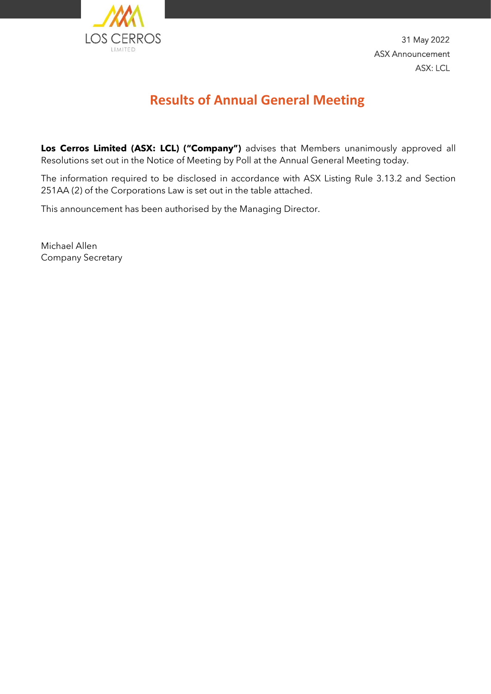

31 May 2022 ASX Announcement ASX: LCL

## **Results of Annual General Meeting**

**Los Cerros Limited (ASX: LCL) ("Company")** advises that Members unanimously approved all Resolutions set out in the Notice of Meeting by Poll at the Annual General Meeting today.

The information required to be disclosed in accordance with ASX Listing Rule 3.13.2 and Section 251AA (2) of the Corporations Law is set out in the table attached.

This announcement has been authorised by the Managing Director.

Michael Allen Company Secretary